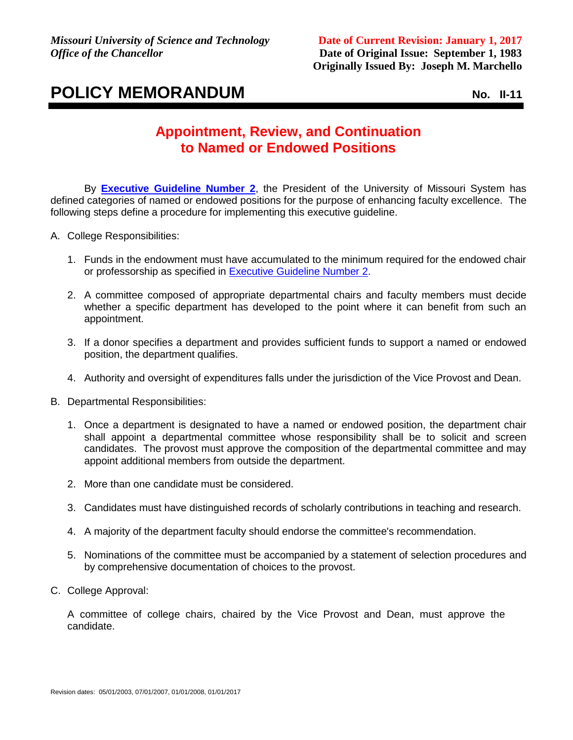## **POLICY MEMORANDUM** NO. 11-11

## **Appointment, Review, and Continuation to Named or Endowed Positions**

By **[Executive Guideline Number 2](http://www.umsystem.edu/ums/departments/gc/rules/personnel/360/090.shtml)**, the President of the University of Missouri System has defined categories of named or endowed positions for the purpose of enhancing faculty excellence. The following steps define a procedure for implementing this executive guideline.

- A. College Responsibilities:
	- 1. Funds in the endowment must have accumulated to the minimum required for the endowed chair or professorship as specified in [Executive Guideline Number 2.](https://www.umsystem.edu/ums/rules/collected_rules/personnel/ch360/360.090_endowments)
	- 2. A committee composed of appropriate departmental chairs and faculty members must decide whether a specific department has developed to the point where it can benefit from such an appointment.
	- 3. If a donor specifies a department and provides sufficient funds to support a named or endowed position, the department qualifies.
	- 4. Authority and oversight of expenditures falls under the jurisdiction of the Vice Provost and Dean.
- B. Departmental Responsibilities:
	- 1. Once a department is designated to have a named or endowed position, the department chair shall appoint a departmental committee whose responsibility shall be to solicit and screen candidates. The provost must approve the composition of the departmental committee and may appoint additional members from outside the department.
	- 2. More than one candidate must be considered.
	- 3. Candidates must have distinguished records of scholarly contributions in teaching and research.
	- 4. A majority of the department faculty should endorse the committee's recommendation.
	- 5. Nominations of the committee must be accompanied by a statement of selection procedures and by comprehensive documentation of choices to the provost.
- C. College Approval:

A committee of college chairs, chaired by the Vice Provost and Dean, must approve the candidate.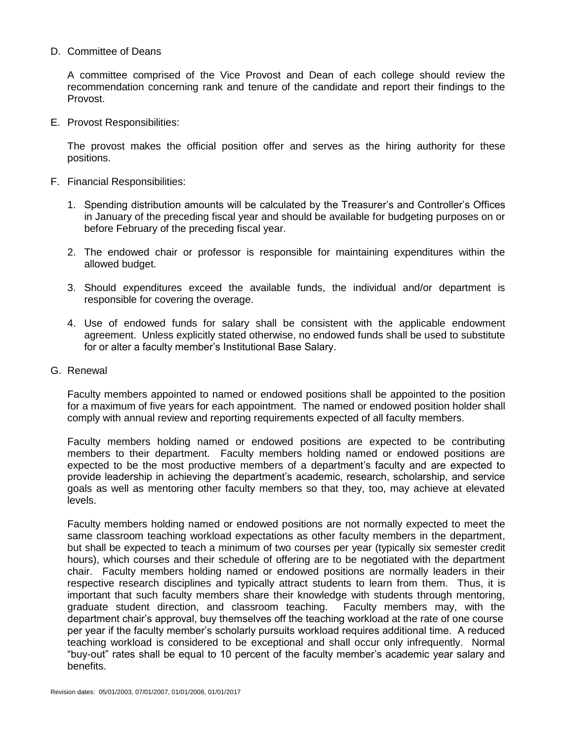## D. Committee of Deans

A committee comprised of the Vice Provost and Dean of each college should review the recommendation concerning rank and tenure of the candidate and report their findings to the Provost.

E. Provost Responsibilities:

The provost makes the official position offer and serves as the hiring authority for these positions.

- F. Financial Responsibilities:
	- 1. Spending distribution amounts will be calculated by the Treasurer's and Controller's Offices in January of the preceding fiscal year and should be available for budgeting purposes on or before February of the preceding fiscal year.
	- 2. The endowed chair or professor is responsible for maintaining expenditures within the allowed budget.
	- 3. Should expenditures exceed the available funds, the individual and/or department is responsible for covering the overage.
	- 4. Use of endowed funds for salary shall be consistent with the applicable endowment agreement. Unless explicitly stated otherwise, no endowed funds shall be used to substitute for or alter a faculty member's Institutional Base Salary.
- G. Renewal

Faculty members appointed to named or endowed positions shall be appointed to the position for a maximum of five years for each appointment. The named or endowed position holder shall comply with annual review and reporting requirements expected of all faculty members.

Faculty members holding named or endowed positions are expected to be contributing members to their department. Faculty members holding named or endowed positions are expected to be the most productive members of a department's faculty and are expected to provide leadership in achieving the department's academic, research, scholarship, and service goals as well as mentoring other faculty members so that they, too, may achieve at elevated levels.

Faculty members holding named or endowed positions are not normally expected to meet the same classroom teaching workload expectations as other faculty members in the department, but shall be expected to teach a minimum of two courses per year (typically six semester credit hours), which courses and their schedule of offering are to be negotiated with the department chair. Faculty members holding named or endowed positions are normally leaders in their respective research disciplines and typically attract students to learn from them. Thus, it is important that such faculty members share their knowledge with students through mentoring, graduate student direction, and classroom teaching. Faculty members may, with the department chair's approval, buy themselves off the teaching workload at the rate of one course per year if the faculty member's scholarly pursuits workload requires additional time. A reduced teaching workload is considered to be exceptional and shall occur only infrequently. Normal "buy-out" rates shall be equal to 10 percent of the faculty member's academic year salary and benefits.